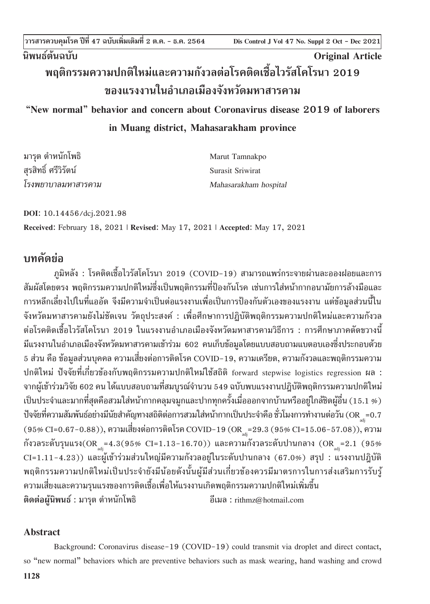**Dis Control J Vol 47 No. Suppl 1 Oct - Dec 2021 วารสารควบคุมโรค ปีที่ 47 ฉบับเพิ่มเติมที่ 2 ต.ค. - ธ.ค. 2564 Dis Control J Vol 47 No. Suppl 2 Oct - Dec 2021**

# **นิพนธ์ต้นฉบับ Original Article**

## **พฤติกรรมความปกติใหม่และความกังวลต่อโรคติดเชื้อไวรัสโคโรนา 2019 ของแรงงานในอ�ำเภอเมืองจังหวัดมหาสารคาม**

## **"New normal" behavior and concern about Coronavirus disease 2019 of laborers in Muang district, Mahasarakham province**

| มารุต ตำหนักโพธิ     | Marut Tamnakpo        |
|----------------------|-----------------------|
| สุรสิทธิ์ ศรีวิรัตน์ | Surasit Sriwirat      |
| โรงพยาบาลมหาสารคาม   | Mahasarakham hospital |

**DOI**: 10.14456/dcj.2021.98 **Received**: February 18, 2021 | **Revised**: May 17, 2021 | **Accepted**: May 17, 2021

## **บทคัดย่อ**

ภูมิหลัง : โรคติดเชื้อไวรัสโคโรนา 2019 (COVID-19) สามารถแพร่กระจายผ่านละอองฝอยและการ สัมผัสโดยตรง พฤติกรรมความปกติใหม่ซึ่งเป็นพฤติกรรมที่ป้องกันโรค เช่นการใส่หน้ากากอนามัยการล้างมือและ การหลีกเลี่ยงไปในที่แออัด จึงมีความจำเป็นต่อแรงงานเพื่อเป็นการป้องกันตัวเองของแรงงาน แต่ข้อมูลส่วนนี้ใน จังหวัดมหาสารคามยังไม่ชัดเจน วัตถุประสงค์ : เพื่อศึกษาการปฏิบัติพฤติกรรมความปกติใหม่และความกังวล ี่ ต่อโรคติดเชื้อไวรัสโคโรนา 2019 ในแรงงานอำเภอเมืองจังหวัดมหาสารคามวิธีการ : การศึกษาภาคตัดขวางนี้ มีแรงงานในอำเภอเมืองจังหวัดมหาสารคามเข้าร่วม 602 คนเก็บข้อมูลโดยแบบสอบถามแบตอบเองซึ่งประกอบด้วย 5 ส่วน คือ ข้อมูลส่วนบุคคล ความเสี่ยงต่อการติดโรค COVID-19, ความเครียด, ความกังวลและพฤติกรรมความ ปกติใหม่ ปัจจัยที่เกี่ยวข้องกับพฤติกรรมความปกติใหม่ใช้สถิติ forward stepwise logistics regression ผล : จากผู้เข้าร่วมวิจัย 602 คน ได้แบบสอบถามที่สมบูรณ์จำนวน 549 ฉบับพบแรงงานปฎิบัติพฤติกรรมความปกติใหม่ เป็นประจำและมากที่สุดคือสวมใส่หน้ากากคลุมจมูกและปากทุกครั้งเมื่อออกจากบ้านหรืออยู่ใกล้ชิดผู้อื่น (15.1 %) ปัจจัยที่ความสัมพันธ์อย่างมีนัยสำคัญทางสถิติต่อการสวมใส่หน้ากากเป็นประจำคือ ชั่วโมงการทำงานต่อวัน (OR  $_{\hbox{\tiny{adj}}}$ =0.7  $\,$ (95% CI=0.67-0.88)), ความเสี่ยงต่อการติดโรค COVID-19 (OR  $_{\textrm{\tiny adi}}$ =29.3 (95% CI=15.06-57.08)), ความ กังวลระดับรุนแรง(OR<sub>adj</sub>=4.3(95% CI=1.13-16.70)) และความกังวลระดับปานกลาง (OR<sub>adj</sub>=2.1 (95% CI=1.11-4.23)) และผู้เข้าร่วมส่วนใหญ่มีความกังวลอยู่ในระดับปานกลาง (67.0%) สรุป : แรงงานปฎิบัติ พฤติกรรมความปกติใหม่เป็นประจำยังมีน้อยดังนั้นผู้มีส่วนเกี่ยวข้องควรมีมาตรการในการส่งเสริมการรับรู้ ความเสี่ยงและความรุนแรงของการติดเชื้อเพื่อให้แรงงานเกิดพฤติกรรมความปกติใหม่เพิ่มขึ้น **ติดต่อผู้นิพนธ์** : มารุต ต�ำหนักโพธิ อีเมล : rithmz@hotmail.com

### **Abstract**

Background: Coronavirus disease-19 (COVID-19) could transmit via droplet and direct contact, so "new normal" behaviors which are preventive behaviors such as mask wearing, hand washing and crowd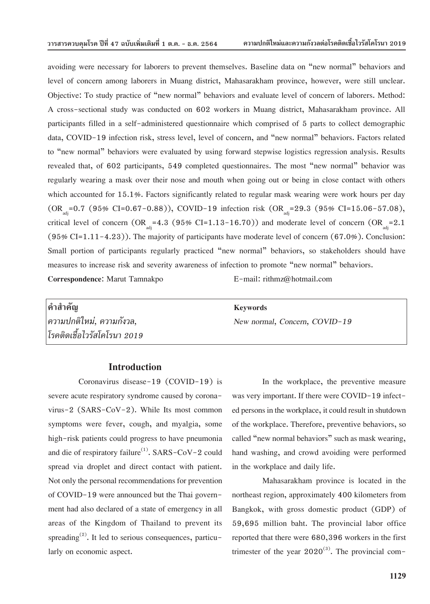avoiding were necessary for laborers to prevent themselves. Baseline data on "new normal" behaviors and level of concern among laborers in Muang district, Mahasarakham province, however, were still unclear. Objective: To study practice of "new normal" behaviors and evaluate level of concern of laborers. Method: A cross-sectional study was conducted on 602 workers in Muang district, Mahasarakham province. All participants filled in a self-administered questionnaire which comprised of 5 parts to collect demographic data, COVID-19 infection risk, stress level, level of concern, and "new normal" behaviors. Factors related to "new normal" behaviors were evaluated by using forward stepwise logistics regression analysis. Results revealed that, of 602 participants, 549 completed questionnaires. The most "new normal" behavior was regularly wearing a mask over their nose and mouth when going out or being in close contact with others which accounted for 15.1%. Factors significantly related to regular mask wearing were work hours per day (OR =0.7 (95% CI=0.67-0.88)), COVID-19 infection risk (OR =29.3 (95% CI=15.06-57.08), critical level of concern  $(OR_{adj} = 4.3 (95\% CI = 1.13 - 16.70))$  and moderate level of concern  $(OR_{adj} = 2.1$  $(95\% CI = 1.11 - 4.23)$ . The majority of participants have moderate level of concern  $(67.0\%)$ . Conclusion: Small portion of participants regularly practiced "new normal" behaviors, so stakeholders should have measures to increase risk and severity awareness of infection to promote "new normal" behaviors. **Correspondence**: Marut Tamnakpo E-mail: rithmz@hotmail.com

| คำสำคัญ                     | <b>Keywords</b>               |
|-----------------------------|-------------------------------|
| ี ความปกติใหม่, ความกังวล,  | New normal, Concern, COVID-19 |
| โรคติดเชื้อไวรัสโคโรนา 2019 |                               |

#### **Introduction**

Coronavirus disease-19 (COVID-19) is severe acute respiratory syndrome caused by coronavirus-2 (SARS-CoV-2). While Its most common symptoms were fever, cough, and myalgia, some high-risk patients could progress to have pneumonia and die of respiratory failure<sup>(1)</sup>. SARS-CoV-2 could spread via droplet and direct contact with patient. Not only the personal recommendations for prevention of COVID-19 were announced but the Thai government had also declared of a state of emergency in all areas of the Kingdom of Thailand to prevent its spreading<sup>(2)</sup>. It led to serious consequences, particularly on economic aspect.

In the workplace, the preventive measure was very important. If there were COVID-19 infected persons in the workplace, it could result in shutdown of the workplace. Therefore, preventive behaviors, so called "new normal behaviors" such as mask wearing, hand washing, and crowd avoiding were performed in the workplace and daily life.

Mahasarakham province is located in the northeast region, approximately 400 kilometers from Bangkok, with gross domestic product (GDP) of 59,695 million baht. The provincial labor office reported that there were 680,396 workers in the first trimester of the year  $2020^{(3)}$ . The provincial com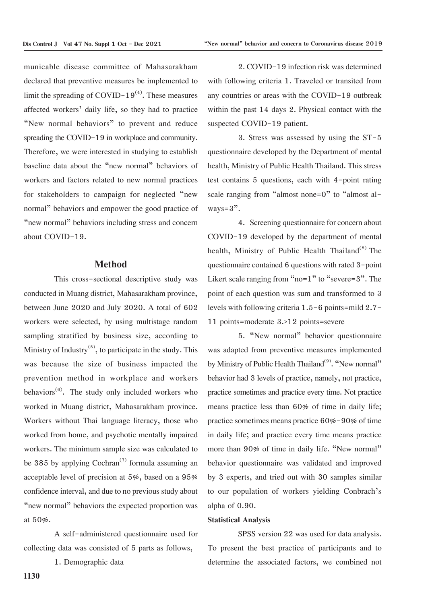municable disease committee of Mahasarakham declared that preventive measures be implemented to limit the spreading of COVID-19 $(4)$ . These measures affected workers' daily life, so they had to practice "New normal behaviors" to prevent and reduce spreading the COVID-19 in workplace and community. Therefore, we were interested in studying to establish baseline data about the "new normal" behaviors of workers and factors related to new normal practices for stakeholders to campaign for neglected "new normal" behaviors and empower the good practice of "new normal" behaviors including stress and concern about COVID-19.

#### **Method**

This cross-sectional descriptive study was conducted in Muang district, Mahasarakham province, between June 2020 and July 2020. A total of 602 workers were selected, by using multistage random sampling stratified by business size, according to Ministry of Industry<sup>(5)</sup>, to participate in the study. This was because the size of business impacted the prevention method in workplace and workers behaviors<sup> $(6)$ </sup>. The study only included workers who worked in Muang district, Mahasarakham province. Workers without Thai language literacy, those who worked from home, and psychotic mentally impaired workers. The minimum sample size was calculated to be 385 by applying Cochran<sup> $(7)$ </sup> formula assuming an acceptable level of precision at 5%, based on a 95% confidence interval, and due to no previous study about "new normal" behaviors the expected proportion was at 50%.

A self-administered questionnaire used for collecting data was consisted of 5 parts as follows,

1. Demographic data

2. COVID-19 infection risk was determined with following criteria 1. Traveled or transited from any countries or areas with the COVID-19 outbreak within the past 14 days 2. Physical contact with the suspected COVID-19 patient.

3. Stress was assessed by using the ST-5 questionnaire developed by the Department of mental health, Ministry of Public Health Thailand. This stress test contains 5 questions, each with 4-point rating scale ranging from "almost none=0" to "almost al $w$ <sub>a</sub> $v$ s= $3"$ .

4. Screening questionnaire for concern about COVID-19 developed by the department of mental health, Ministry of Public Health Thailand<sup>(8)</sup> The questionnaire contained 6 questions with rated 3-point Likert scale ranging from "no=1" to "severe=3". The point of each question was sum and transformed to 3 levels with following criteria 1.5-6 points=mild 2.7- 11 points=moderate 3.>12 points=severe

5. "New normal" behavior questionnaire was adapted from preventive measures implemented by Ministry of Public Health Thailand<sup>(9)</sup>. "New normal" behavior had 3 levels of practice, namely, not practice, practice sometimes and practice every time. Not practice means practice less than 60% of time in daily life; practice sometimes means practice 60%-90% of time in daily life; and practice every time means practice more than 90% of time in daily life. "New normal" behavior questionnaire was validated and improved by 3 experts, and tried out with 30 samples similar to our population of workers yielding Conbrach's alpha of 0.90.

#### **Statistical Analysis**

SPSS version 22 was used for data analysis. To present the best practice of participants and to determine the associated factors, we combined not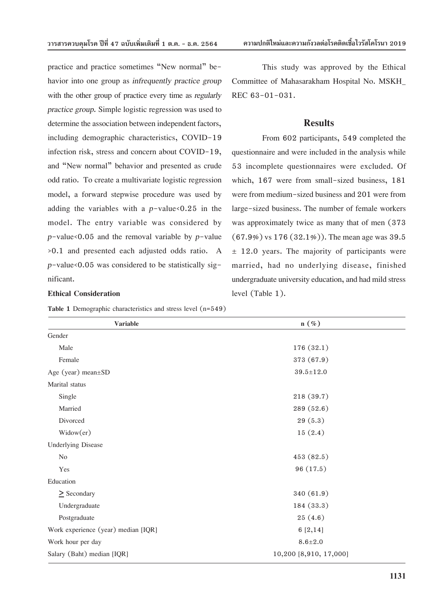practice and practice sometimes "New normal" behavior into one group as *infrequently practice group*  with the other group of practice every time as *regularly practice group.* Simple logistic regression was used to determine the association between independent factors, including demographic characteristics, COVID-19 infection risk, stress and concern about COVID-19, and "New normal" behavior and presented as crude odd ratio. To create a multivariate logistic regression model, a forward stepwise procedure was used by adding the variables with a  $p$ -value <0.25 in the model. The entry variable was considered by *p*-value<0.05 and the removal variable by *p*-value >0.1 and presented each adjusted odds ratio. A  $p$ -value<0.05 was considered to be statistically significant.

#### **Ethical Consideration**

**Table 1** Demographic characteristics and stress level (n=549)

This study was approved by the Ethical Committee of Mahasarakham Hospital No. MSKH\_ REC 63-01-031.

#### **Results**

From 602 participants, 549 completed the questionnaire and were included in the analysis while 53 incomplete questionnaires were excluded. Of which, 167 were from small-sized business, 181 were from medium-sized business and 201 were from large-sized business. The number of female workers was approximately twice as many that of men (373  $(67.9\%)$  vs  $176 (32.1\%)$ ). The mean age was 39.5  $\pm$  12.0 years. The majority of participants were married, had no underlying disease, finished undergraduate university education, and had mild stress level (Table 1).

| <b>Variable</b>                     | $n(\%)$                |
|-------------------------------------|------------------------|
| Gender                              |                        |
| Male                                | 176(32.1)              |
| Female                              | 373 (67.9)             |
| Age (year) mean $\pm$ SD            | $39.5 \pm 12.0$        |
| Marital status                      |                        |
| Single                              | 218 (39.7)             |
| Married                             | 289 (52.6)             |
| Divorced                            | 29(5.3)                |
| Widow(er)                           | 15(2.4)                |
| <b>Underlying Disease</b>           |                        |
| N <sub>o</sub>                      | 453 (82.5)             |
| Yes                                 | 96 (17.5)              |
| Education                           |                        |
| $\geq$ Secondary                    | 340 (61.9)             |
| Undergraduate                       | 184 (33.3)             |
| Postgraduate                        | 25(4.6)                |
| Work experience (year) median [IQR] | 6[2,14]                |
| Work hour per day                   | $8.6 + 2.0$            |
| Salary (Baht) median [IQR]          | 10,200 [8,910, 17,000] |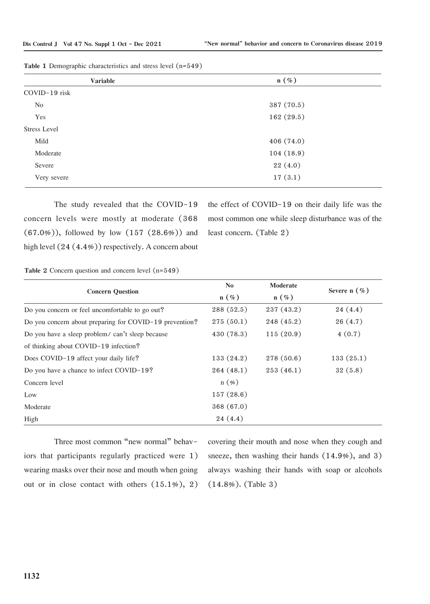| <b>Variable</b>     | $n(\%)$    |  |
|---------------------|------------|--|
| COVID-19 risk       |            |  |
| No                  | 387 (70.5) |  |
| Yes                 | 162(29.5)  |  |
| <b>Stress Level</b> |            |  |
| Mild                | 406 (74.0) |  |
| Moderate            | 104(18.9)  |  |
| Severe              | 22(4.0)    |  |
| Very severe         | 17(3.1)    |  |
|                     |            |  |

| Table 1 Demographic characteristics and stress level (n=549) |  |  |  |
|--------------------------------------------------------------|--|--|--|
|--------------------------------------------------------------|--|--|--|

The study revealed that the COVID-19 concern levels were mostly at moderate (368  $(67.0\%)$ , followed by low  $(157 (28.6\%)$  and high level  $(24 (4.4%))$  respectively. A concern about

the effect of COVID-19 on their daily life was the most common one while sleep disturbance was of the least concern. (Table 2)

**Table 2** Concern question and concern level (n=549)

|                                                         | N <sub>0</sub> | Moderate   | Severe $n$ $(\%)$ |  |
|---------------------------------------------------------|----------------|------------|-------------------|--|
| <b>Concern Question</b>                                 | $n(\%)$        | $n(\%)$    |                   |  |
| Do you concern or feel uncomfortable to go out?         | 288(52.5)      | 237(43.2)  | 24(4.4)           |  |
| Do you concern about preparing for COVID-19 prevention? | 275(50.1)      | 248 (45.2) | 26(4.7)           |  |
| Do you have a sleep problem/can't sleep because         | 430 (78.3)     | 115(20.9)  | 4(0.7)            |  |
| of thinking about COVID-19 infection?                   |                |            |                   |  |
| Does COVID-19 affect your daily life?                   | 133(24.2)      | 278 (50.6) | 133(25.1)         |  |
| Do you have a chance to infect COVID-19?                | 264(48.1)      | 253(46.1)  | 32(5.8)           |  |
| Concern level                                           | $n(\%)$        |            |                   |  |
| Low                                                     | 157(28.6)      |            |                   |  |
| Moderate                                                | 368 (67.0)     |            |                   |  |
| High                                                    | 24(4.4)        |            |                   |  |

Three most common "new normal" behaviors that participants regularly practiced were 1) wearing masks over their nose and mouth when going out or in close contact with others (15.1%), 2) covering their mouth and nose when they cough and sneeze, then washing their hands (14.9%), and 3) always washing their hands with soap or alcohols (14.8%). (Table 3)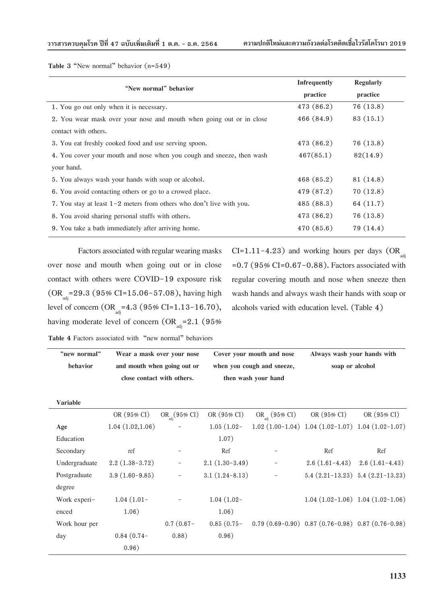**Table 3** "New normal" behavior (n=549)

| "New normal" behavior                                                  | <b>Infrequently</b> | <b>Regularly</b> |
|------------------------------------------------------------------------|---------------------|------------------|
|                                                                        | practice            | practice         |
| 1. You go out only when it is necessary.                               | 473 (86.2)          | 76(13.8)         |
| 2. You wear mask over your nose and mouth when going out or in close   | 466(84.9)           | 83 (15.1)        |
| contact with others.                                                   |                     |                  |
| 3. You eat freshly cooked food and use serving spoon.                  | 473 (86.2)          | 76 (13.8)        |
| 4. You cover your mouth and nose when you cough and sneeze, then wash  | 467(85.1)           | 82(14.9)         |
| your hand.                                                             |                     |                  |
| 5. You always wash your hands with soap or alcohol.                    | 468 (85.2)          | 81 (14.8)        |
| 6. You avoid contacting others or go to a crowed place.                | 479 (87.2)          | 70(12.8)         |
| 7. You stay at least $1-2$ meters from others who don't live with you. | 485 (88.3)          | 64 (11.7)        |
| 8. You avoid sharing personal stuffs with others.                      | 473 (86.2)          | 76 (13.8)        |
| 9. You take a bath immediately after arriving home.                    | 470 (85.6)          | 79 (14.4)        |

Factors associated with regular wearing masks over nose and mouth when going out or in close contact with others were COVID-19 exposure risk  $(OR<sub>adi</sub>=29.3 (95% CI=15.06-57.08), having high$ level of concern  $(OR_{adj}=4.3 (95\% CI=1.13-16.70),$ having moderate level of concern  $(OR_{\text{adi}}=2.1 \text{ } (95\%)$  CI=1.11-4.23) and working hours per days  $(OR_{\text{ad}})$  $=0.7$  (95% CI=0.67-0.88). Factors associated with regular covering mouth and nose when sneeze then wash hands and always wash their hands with soap or alcohols varied with education level. (Table 4)

**Table 4** Factors associated with "new normal" behaviors

| "new normal"    | Wear a mask over your nose  |                       | Cover your mouth and nose  |                            | Always wash your hands with                             |                                      |
|-----------------|-----------------------------|-----------------------|----------------------------|----------------------------|---------------------------------------------------------|--------------------------------------|
| behavior        | and mouth when going out or |                       | when you cough and sneeze, |                            | soap or alcohol                                         |                                      |
|                 | close contact with others.  |                       |                            | then wash your hand        |                                                         |                                      |
| <b>Variable</b> |                             |                       |                            |                            |                                                         |                                      |
|                 | OR (95% CI)                 | $OR_{adi}(95\% \ CI)$ | OR (95% CI)                | OR <sub>adi</sub> (95% CI) | OR (95% CI)                                             | OR $(95\% \text{ CI})$               |
| Age             | 1.04(1.02,1.06)             |                       | $1.05(1.02 -$              |                            | $1.02(1.00-1.04)$ 1.04 $(1.02-1.07)$ 1.04 $(1.02-1.07)$ |                                      |
| Education       |                             |                       | 1.07)                      |                            |                                                         |                                      |
| Secondary       | ref                         |                       | Ref                        |                            | Ref                                                     | Ref                                  |
| Undergraduate   | $2.2(1.38-3.72)$            | $\equiv$              | $2.1(1.30-3.49)$           |                            | $2.6(1.61-4.43)$                                        | $2.6(1.61-4.43)$                     |
| Postgraduate    | $3.9(1.60-9.85)$            | $\rightarrow$         | $3.1(1.24 - 8.13)$         | $\overline{\phantom{m}}$   |                                                         | $5.4(2.21-13.23)$ $5.4(2.21-13.23)$  |
| degree          |                             |                       |                            |                            |                                                         |                                      |
| Work experi-    | $1.04(1.01 -$               |                       | $1.04(1.02 -$              |                            |                                                         | $1.04(1.02-1.06)$ 1.04 $(1.02-1.06)$ |
| enced           | 1.06)                       |                       | 1.06)                      |                            |                                                         |                                      |
| Work hour per   |                             | $0.7(0.67 -$          | $0.85(0.75 -$              |                            | $0.79(0.69-0.90)$ $0.87(0.76-0.98)$ $0.87(0.76-0.98)$   |                                      |
| day             | $0.84(0.74-$                | 0.88)                 | 0.96)                      |                            |                                                         |                                      |
|                 | 0.96)                       |                       |                            |                            |                                                         |                                      |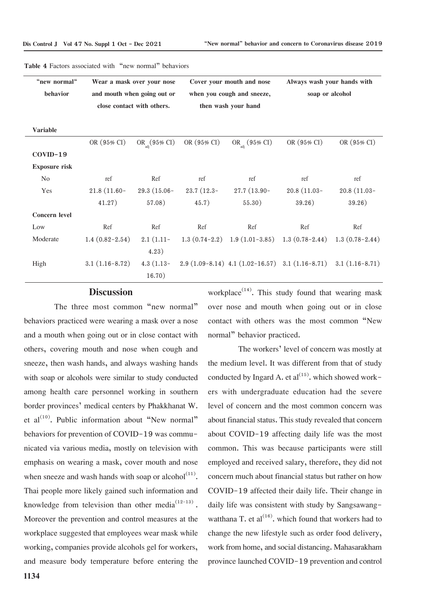| "new normal"         | Wear a mask over your nose |                             | Cover your mouth and nose |                                                                    | Always wash your hands with |                  |  |
|----------------------|----------------------------|-----------------------------|---------------------------|--------------------------------------------------------------------|-----------------------------|------------------|--|
| behavior             |                            | and mouth when going out or |                           | when you cough and sneeze,                                         |                             | soap or alcohol  |  |
|                      |                            | close contact with others.  |                           | then wash your hand                                                |                             |                  |  |
|                      |                            |                             |                           |                                                                    |                             |                  |  |
| <b>Variable</b>      |                            |                             |                           |                                                                    |                             |                  |  |
|                      | OR (95% CI)                | $OR_{adi}(95\% \ CI)$       | OR (95% CI)               | OR <sub>adi</sub> (95% CI)                                         | OR (95% CI)                 | OR (95% CI)      |  |
| COVID-19             |                            |                             |                           |                                                                    |                             |                  |  |
| <b>Exposure risk</b> |                            |                             |                           |                                                                    |                             |                  |  |
| N <sub>o</sub>       | ref                        | Ref                         | ref                       | ref                                                                | ref                         | ref              |  |
| Yes                  | $21.8(11.60 -$             | $29.3(15.06 -$              | $23.7(12.3 -$             | 27.7 (13.90-                                                       | $20.8(11.03 -$              | $20.8(11.03 -$   |  |
|                      | 41.27)                     | 57.08)                      | 45.7)                     | 55.30)                                                             | 39.26)                      | 39.26)           |  |
| <b>Concern level</b> |                            |                             |                           |                                                                    |                             |                  |  |
| Low                  | Ref                        | Ref                         | Ref                       | Ref                                                                | Ref                         | Ref              |  |
| Moderate             | $1.4(0.82-2.54)$           | $2.1(1.11-$                 |                           | $1.3(0.74-2.2)$ $1.9(1.01-3.85)$ $1.3(0.78-2.44)$ $1.3(0.78-2.44)$ |                             |                  |  |
|                      |                            | 4.23)                       |                           |                                                                    |                             |                  |  |
| High                 | $3.1(1.16-8.72)$           | $4.3(1.13-$                 |                           | $2.9(1.09-8.14)$ 4.1 $(1.02-16.57)$ 3.1 $(1.16-8.71)$              |                             | $3.1(1.16-8.71)$ |  |
|                      |                            | 16.70)                      |                           |                                                                    |                             |                  |  |

#### **Table 4** Factors associated with "new normal" behaviors

#### **Discussion**

The three most common "new normal" behaviors practiced were wearing a mask over a nose and a mouth when going out or in close contact with others, covering mouth and nose when cough and sneeze, then wash hands, and always washing hands with soap or alcohols were similar to study conducted among health care personnel working in southern border provinces' medical centers by Phakkhanat W. et al $(10)$ . Public information about "New normal" behaviors for prevention of COVID-19 was communicated via various media, mostly on television with emphasis on wearing a mask, cover mouth and nose when sneeze and wash hands with soap or alcohol<sup> $(11)$ </sup>. Thai people more likely gained such information and knowledge from television than other media $^{(12-13)}$ . Moreover the prevention and control measures at the workplace suggested that employees wear mask while working, companies provide alcohols gel for workers, and measure body temperature before entering the

workplace<sup> $(14)$ </sup>. This study found that wearing mask over nose and mouth when going out or in close contact with others was the most common "New normal" behavior practiced.

The workers' level of concern was mostly at the medium level. It was different from that of study conducted by Ingard A. et al<sup>(15)</sup>. which showed workers with undergraduate education had the severe level of concern and the most common concern was about financial status. This study revealed that concern about COVID-19 affecting daily life was the most common. This was because participants were still employed and received salary, therefore, they did not concern much about financial status but rather on how COVID-19 affected their daily life. Their change in daily life was consistent with study by Sangsawangwatthana T. et al<sup>(16)</sup>. which found that workers had to change the new lifestyle such as order food delivery, work from home, and social distancing. Mahasarakham province launched COVID-19 prevention and control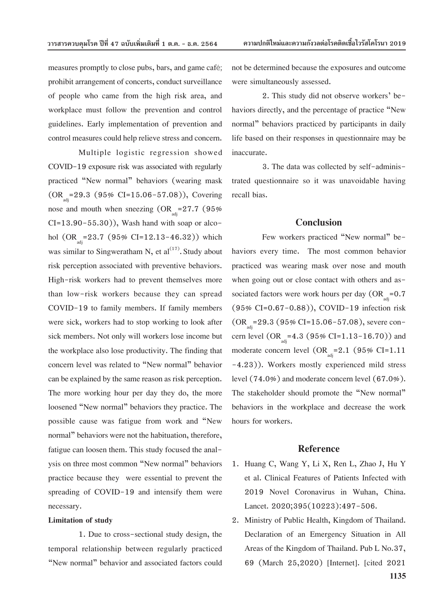measures promptly to close pubs, bars, and game café; prohibit arrangement of concerts, conduct surveillance of people who came from the high risk area, and workplace must follow the prevention and control guidelines. Early implementation of prevention and control measures could help relieve stress and concern.

Multiple logistic regression showed COVID-19 exposure risk was associated with regularly practiced "New normal" behaviors (wearing mask  $(OR<sub>ad</sub>=29.3 (95% CI=15.06-57.08)),$  Covering nose and mouth when sneezing  $(OR_{\text{at}}=27.7 \text{ } (95\%)$  $CI=13.90-55.30$ ), Wash hand with soap or alcohol  $(OR_{\text{adj}}=23.7 (95\% \text{ CI}=12.13-46.32))$  which was similar to Singweratham N, et al $^{(17)}$ . Study about risk perception associated with preventive behaviors. High-risk workers had to prevent themselves more than low-risk workers because they can spread COVID-19 to family members. If family members were sick, workers had to stop working to look after sick members. Not only will workers lose income but the workplace also lose productivity. The finding that concern level was related to "New normal" behavior can be explained by the same reason as risk perception. The more working hour per day they do, the more loosened "New normal" behaviors they practice. The possible cause was fatigue from work and "New normal" behaviors were not the habituation, therefore, fatigue can loosen them. This study focused the analysis on three most common "New normal" behaviors practice because they were essential to prevent the spreading of COVID-19 and intensify them were necessary.

#### **Limitation of study**

1. Due to cross-sectional study design, the temporal relationship between regularly practiced "New normal" behavior and associated factors could not be determined because the exposures and outcome were simultaneously assessed.

2. This study did not observe workers' behaviors directly, and the percentage of practice "New normal" behaviors practiced by participants in daily life based on their responses in questionnaire may be inaccurate.

3. The data was collected by self-administrated questionnaire so it was unavoidable having recall bias.

#### **Conclusion**

Few workers practiced "New normal" behaviors every time. The most common behavior practiced was wearing mask over nose and mouth when going out or close contact with others and associated factors were work hours per day (OR $_{\rm{adj}}$ =0.7 (95% CI=0.67-0.88)), COVID-19 infection risk  $(OR_{\text{odd}}=29.3 \ (95\% \ \text{CI}=15.06-57.08),$  severe concern level  $(OR_{\text{ad}}=4.3 (95\% \text{ CI}=1.13-16.70))$  and moderate concern level (OR  $=$  2.1 (95% CI=1.11 -4.23)). Workers mostly experienced mild stress level (74.0%) and moderate concern level (67.0%). The stakeholder should promote the "New normal" behaviors in the workplace and decrease the work hours for workers.

#### **Reference**

- 1. Huang C, Wang Y, Li X, Ren L, Zhao J, Hu Y et al. Clinical Features of Patients Infected with 2019 Novel Coronavirus in Wuhan, China. Lancet. 2020;395(10223):497-506.
- 2. Ministry of Public Health, Kingdom of Thailand. Declaration of an Emergency Situation in All Areas of the Kingdom of Thailand. Pub L No.37, 69 (March 25,2020) [Internet]. [cited 2021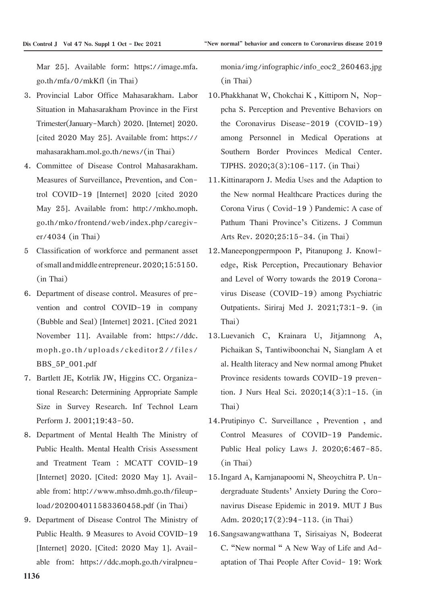Mar 25]. Available form: https://image.mfa. go.th/mfa/0/mkKfl (in Thai)

- 3. Provincial Labor Office Mahasarakham. Labor Situation in Mahasarakham Province in the First Trimester(January-March) 2020. [Internet] 2020. [cited 2020 May 25]. Available from: https:// mahasarakham.mol.go.th/news/(in Thai)
- 4. Committee of Disease Control Mahasarakham. Measures of Surveillance, Prevention, and Control COVID-19 [Internet] 2020 [cited 2020 May 25]. Available from: http://mkho.moph. go.th/mko/frontend/web/index.php/caregiver/4034 (in Thai)
- 5 Classification of workforce and permanent asset of small and middle entrepreneur. 2020;15:5150. (in Thai)
- 6. Department of disease control. Measures of prevention and control COVID-19 in company (Bubble and Seal) [Internet] 2021. [Cited 2021 November 11]. Available from: https://ddc. moph.go.th/uploads/ckeditor2//files/ BBS\_5P\_001.pdf
- 7. Bartlett JE, Kotrlik JW, Higgins CC. Organizational Research: Determining Appropriate Sample Size in Survey Research. Inf Technol Learn Perform J. 2001;19:43-50.
- 8. Department of Mental Health The Ministry of Public Health. Mental Health Crisis Assessment and Treatment Team : MCATT COVID-19 [Internet] 2020. [Cited: 2020 May 1]. Available from: http://www.mhso.dmh.go.th/fileupload/202004011583360458.pdf (in Thai)
- 9. Department of Disease Control The Ministry of Public Health. 9 Measures to Avoid COVID-19 [Internet] 2020. [Cited: 2020 May 1]. Available from: https://ddc.moph.go.th/viralpneu-

monia/img/infographic/info\_eoc2\_260463.jpg (in Thai)

- 10.Phakkhanat W, Chokchai K , Kittiporn N, Noppcha S. Perception and Preventive Behaviors on the Coronavirus Disease-2019 (COVID-19) among Personnel in Medical Operations at Southern Border Provinces Medical Center. TJPHS. 2020;3(3):106-117. (in Thai)
- 11.Kittinaraporn J. Media Uses and the Adaption to the New normal Healthcare Practices during the Corona Virus ( Covid-19 ) Pandemic: A case of Pathum Thani Province's Citizens. J Commun Arts Rev. 2020;25:15-34. (in Thai)
- 12.Maneepongpermpoon P, Pitanupong J. Knowledge, Risk Perception, Precautionary Behavior and Level of Worry towards the 2019 Coronavirus Disease (COVID-19) among Psychiatric Outpatients. Siriraj Med J. 2021;73:1-9. (in Thai)
- 13.Luevanich C, Krainara U, Jitjamnong A, Pichaikan S, Tantiwiboonchai N, Sianglam A et al. Health literacy and New normal among Phuket Province residents towards COVID-19 prevention. J Nurs Heal Sci. 2020;14(3):1-15. (in Thai)
- 14.Prutipinyo C. Surveillance , Prevention , and Control Measures of COVID-19 Pandemic. Public Heal policy Laws J. 2020;6:467-85. (in Thai)
- 15.Ingard A, Karnjanapoomi N, Sheoychitra P. Undergraduate Students' Anxiety During the Coronavirus Disease Epidemic in 2019. MUT J Bus Adm. 2020;17(2):94-113. (in Thai)
- 16.Sangsawangwatthana T, Sirisaiyas N, Bodeerat C. "New normal " A New Way of Life and Adaptation of Thai People After Covid- 19: Work